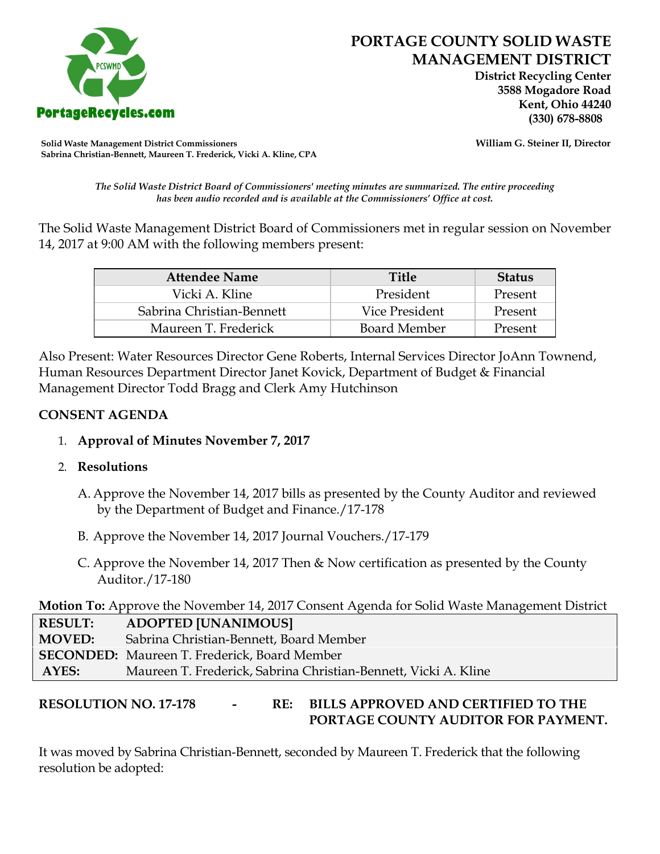

 **District Recycling Center 3588 Mogadore Road Kent, Ohio 44240**

**Solid Waste Management District Commissioners William G. Steiner II, Director Sabrina Christian-Bennett, Maureen T. Frederick, Vicki A. Kline, CPA**

*The Solid Waste District Board of Commissioners' meeting minutes are summarized. The entire proceeding has been audio recorded and is available at the Commissioners' Office at cost.*

The Solid Waste Management District Board of Commissioners met in regular session on November 14, 2017 at 9:00 AM with the following members present:

| <b>Attendee Name</b>      | <b>Title</b>   | <b>Status</b> |
|---------------------------|----------------|---------------|
| Vicki A. Kline            | President      | Present       |
| Sabrina Christian-Bennett | Vice President | Present       |
| Maureen T. Frederick      | Board Member   | Present       |

Also Present: Water Resources Director Gene Roberts, Internal Services Director JoAnn Townend, Human Resources Department Director Janet Kovick, Department of Budget & Financial Management Director Todd Bragg and Clerk Amy Hutchinson

### **CONSENT AGENDA**

## 1. **Approval of Minutes November 7, 2017**

### 2. **Resolutions**

- A. Approve the November 14, 2017 bills as presented by the County Auditor and reviewed by the Department of Budget and Finance./17-178
- B. Approve the November 14, 2017 Journal Vouchers./17-179
- C. Approve the November 14, 2017 Then & Now certification as presented by the County Auditor./17-180

**Motion To:** Approve the November 14, 2017 Consent Agenda for Solid Waste Management District

| <b>RESULT:</b> | <b>ADOPTED [UNANIMOUS]</b>                                      |
|----------------|-----------------------------------------------------------------|
| <b>MOVED:</b>  | Sabrina Christian-Bennett, Board Member                         |
|                | <b>SECONDED:</b> Maureen T. Frederick, Board Member             |
| AYES:          | Maureen T. Frederick, Sabrina Christian-Bennett, Vicki A. Kline |

# **RESOLUTION NO. 17-178 - RE: BILLS APPROVED AND CERTIFIED TO THE PORTAGE COUNTY AUDITOR FOR PAYMENT.**

It was moved by Sabrina Christian-Bennett, seconded by Maureen T. Frederick that the following resolution be adopted: